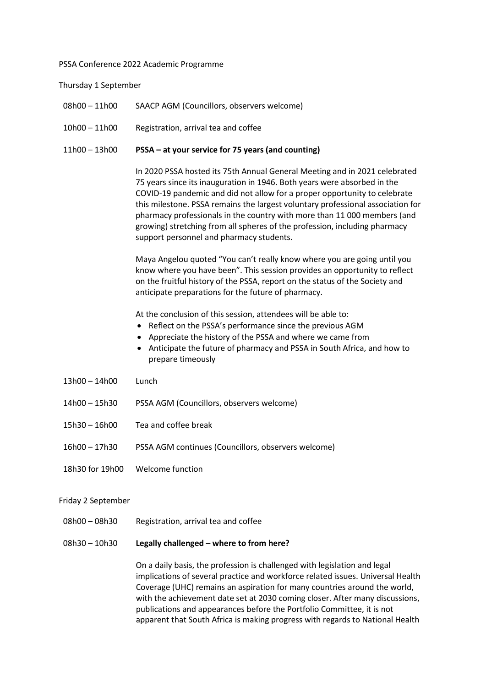#### PSSA Conference 2022 Academic Programme

Thursday 1 September

- 08h00 11h00 SAACP AGM (Councillors, observers welcome)
- 10h00 11h00 Registration, arrival tea and coffee

### 11h00 – 13h00 PSSA – at your service for 75 years (and counting)

In 2020 PSSA hosted its 75th Annual General Meeting and in 2021 celebrated 75 years since its inauguration in 1946. Both years were absorbed in the COVID-19 pandemic and did not allow for a proper opportunity to celebrate this milestone. PSSA remains the largest voluntary professional association for pharmacy professionals in the country with more than 11 000 members (and growing) stretching from all spheres of the profession, including pharmacy support personnel and pharmacy students.

Maya Angelou quoted "You can't really know where you are going until you know where you have been". This session provides an opportunity to reflect on the fruitful history of the PSSA, report on the status of the Society and anticipate preparations for the future of pharmacy.

At the conclusion of this session, attendees will be able to:

- Reflect on the PSSA's performance since the previous AGM
- Appreciate the history of the PSSA and where we came from
- Anticipate the future of pharmacy and PSSA in South Africa, and how to prepare timeously
- 13h00 14h00 Lunch
- 14h00 15h30 PSSA AGM (Councillors, observers welcome)
- 15h30 16h00 Tea and coffee break
- 16h00 17h30 PSSA AGM continues (Councillors, observers welcome)
- 18h30 for 19h00 Welcome function

#### Friday 2 September

- 08h00 08h30 Registration, arrival tea and coffee
- 08h30 10h30 Legally challenged where to from here?

On a daily basis, the profession is challenged with legislation and legal implications of several practice and workforce related issues. Universal Health Coverage (UHC) remains an aspiration for many countries around the world, with the achievement date set at 2030 coming closer. After many discussions, publications and appearances before the Portfolio Committee, it is not apparent that South Africa is making progress with regards to National Health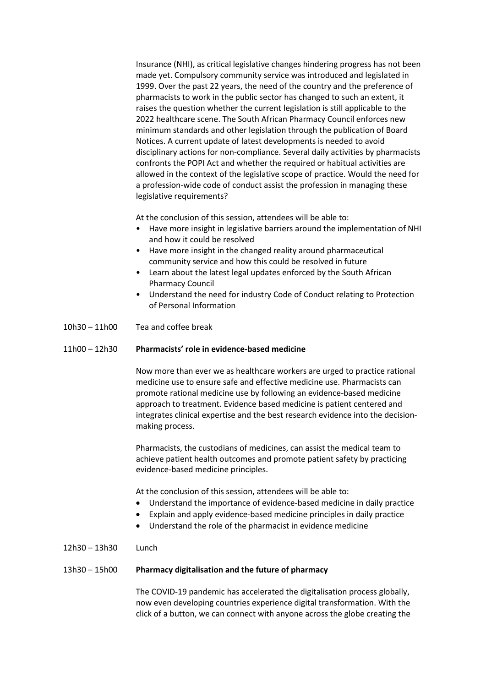Insurance (NHI), as critical legislative changes hindering progress has not been made yet. Compulsory community service was introduced and legislated in 1999. Over the past 22 years, the need of the country and the preference of pharmacists to work in the public sector has changed to such an extent, it raises the question whether the current legislation is still applicable to the 2022 healthcare scene. The South African Pharmacy Council enforces new minimum standards and other legislation through the publication of Board Notices. A current update of latest developments is needed to avoid disciplinary actions for non-compliance. Several daily activities by pharmacists confronts the POPI Act and whether the required or habitual activities are allowed in the context of the legislative scope of practice. Would the need for a profession-wide code of conduct assist the profession in managing these legislative requirements?

At the conclusion of this session, attendees will be able to:

- Have more insight in legislative barriers around the implementation of NHI and how it could be resolved
- Have more insight in the changed reality around pharmaceutical community service and how this could be resolved in future
- Learn about the latest legal updates enforced by the South African Pharmacy Council
- Understand the need for industry Code of Conduct relating to Protection of Personal Information
- 10h30 11h00 Tea and coffee break

## 11h00 – 12h30 Pharmacists' role in evidence-based medicine

Now more than ever we as healthcare workers are urged to practice rational medicine use to ensure safe and effective medicine use. Pharmacists can promote rational medicine use by following an evidence-based medicine approach to treatment. Evidence based medicine is patient centered and integrates clinical expertise and the best research evidence into the decisionmaking process.

Pharmacists, the custodians of medicines, can assist the medical team to achieve patient health outcomes and promote patient safety by practicing evidence-based medicine principles.

At the conclusion of this session, attendees will be able to:

- Understand the importance of evidence-based medicine in daily practice
- Explain and apply evidence-based medicine principles in daily practice
- Understand the role of the pharmacist in evidence medicine
- 12h30 13h30 Lunch

## 13h30 – 15h00 Pharmacy digitalisation and the future of pharmacy

The COVID-19 pandemic has accelerated the digitalisation process globally, now even developing countries experience digital transformation. With the click of a button, we can connect with anyone across the globe creating the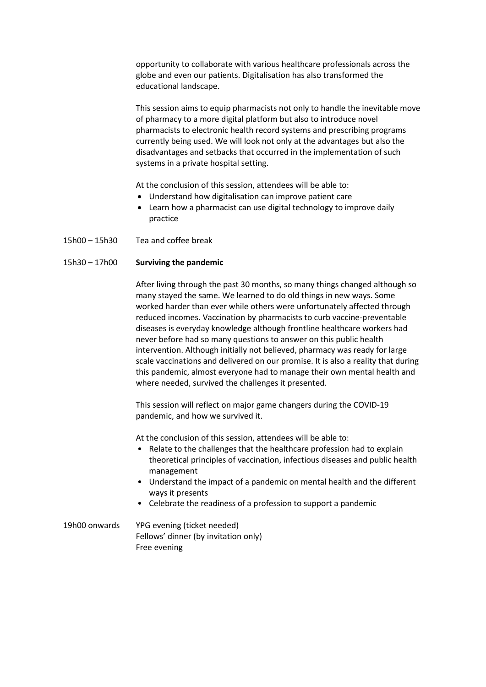opportunity to collaborate with various healthcare professionals across the globe and even our patients. Digitalisation has also transformed the educational landscape.

This session aims to equip pharmacists not only to handle the inevitable move of pharmacy to a more digital platform but also to introduce novel pharmacists to electronic health record systems and prescribing programs currently being used. We will look not only at the advantages but also the disadvantages and setbacks that occurred in the implementation of such systems in a private hospital setting.

At the conclusion of this session, attendees will be able to:

- Understand how digitalisation can improve patient care
- Learn how a pharmacist can use digital technology to improve daily practice
- 15h00 15h30 Tea and coffee break

## 15h30 – 17h00 Surviving the pandemic

After living through the past 30 months, so many things changed although so many stayed the same. We learned to do old things in new ways. Some worked harder than ever while others were unfortunately affected through reduced incomes. Vaccination by pharmacists to curb vaccine-preventable diseases is everyday knowledge although frontline healthcare workers had never before had so many questions to answer on this public health intervention. Although initially not believed, pharmacy was ready for large scale vaccinations and delivered on our promise. It is also a reality that during this pandemic, almost everyone had to manage their own mental health and where needed, survived the challenges it presented.

This session will reflect on major game changers during the COVID-19 pandemic, and how we survived it.

At the conclusion of this session, attendees will be able to:

- Relate to the challenges that the healthcare profession had to explain theoretical principles of vaccination, infectious diseases and public health management
- Understand the impact of a pandemic on mental health and the different ways it presents
- Celebrate the readiness of a profession to support a pandemic
- 19h00 onwards YPG evening (ticket needed) Fellows' dinner (by invitation only) Free evening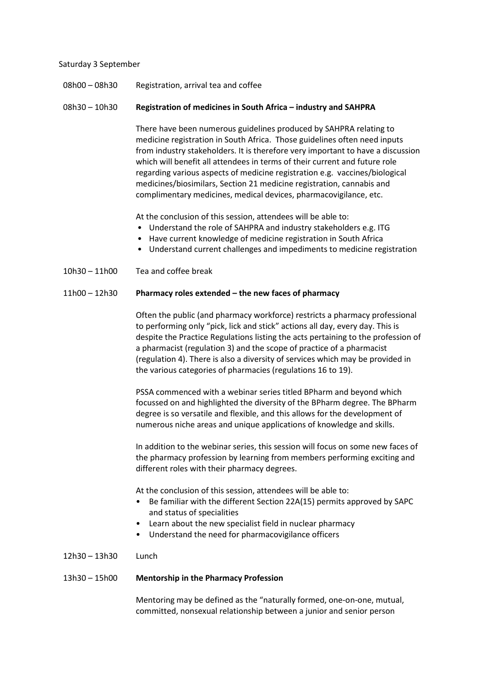### Saturday 3 September

# 08h00 – 08h30 Registration, arrival tea and coffee

## 08h30 – 10h30 Registration of medicines in South Africa – industry and SAHPRA

There have been numerous guidelines produced by SAHPRA relating to medicine registration in South Africa. Those guidelines often need inputs from industry stakeholders. It is therefore very important to have a discussion which will benefit all attendees in terms of their current and future role regarding various aspects of medicine registration e.g. vaccines/biological medicines/biosimilars, Section 21 medicine registration, cannabis and complimentary medicines, medical devices, pharmacovigilance, etc.

At the conclusion of this session, attendees will be able to:

- Understand the role of SAHPRA and industry stakeholders e.g. ITG
- Have current knowledge of medicine registration in South Africa
- Understand current challenges and impediments to medicine registration
- 10h30 11h00 Tea and coffee break

## 11h00 – 12h30 Pharmacy roles extended – the new faces of pharmacy

Often the public (and pharmacy workforce) restricts a pharmacy professional to performing only "pick, lick and stick" actions all day, every day. This is despite the Practice Regulations listing the acts pertaining to the profession of a pharmacist (regulation 3) and the scope of practice of a pharmacist (regulation 4). There is also a diversity of services which may be provided in the various categories of pharmacies (regulations 16 to 19).

PSSA commenced with a webinar series titled BPharm and beyond which focussed on and highlighted the diversity of the BPharm degree. The BPharm degree is so versatile and flexible, and this allows for the development of numerous niche areas and unique applications of knowledge and skills.

In addition to the webinar series, this session will focus on some new faces of the pharmacy profession by learning from members performing exciting and different roles with their pharmacy degrees.

At the conclusion of this session, attendees will be able to:

- Be familiar with the different Section 22A(15) permits approved by SAPC and status of specialities
- Learn about the new specialist field in nuclear pharmacy
- Understand the need for pharmacovigilance officers
- 12h30 13h30 Lunch

## 13h30 – 15h00 Mentorship in the Pharmacy Profession

Mentoring may be defined as the "naturally formed, one-on-one, mutual, committed, nonsexual relationship between a junior and senior person